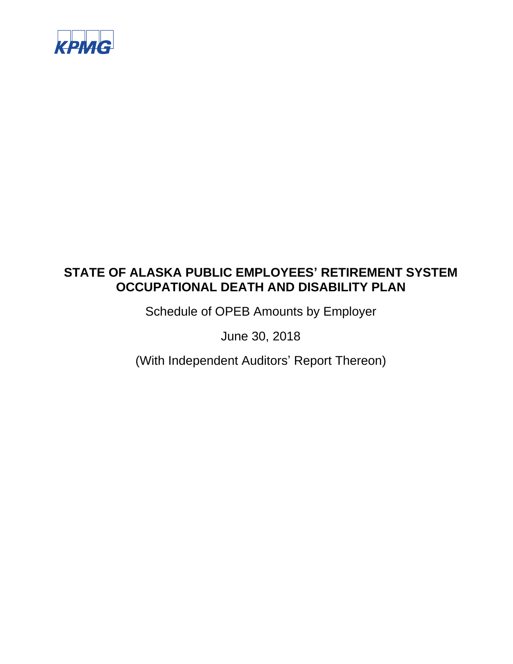

Schedule of OPEB Amounts by Employer

June 30, 2018

(With Independent Auditors' Report Thereon)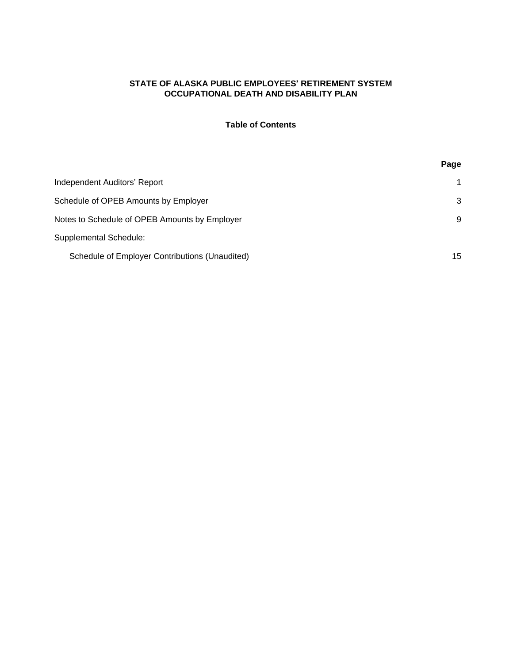### **Table of Contents**

|                                                | Page |
|------------------------------------------------|------|
| Independent Auditors' Report                   | 1    |
| Schedule of OPEB Amounts by Employer           | 3    |
| Notes to Schedule of OPEB Amounts by Employer  | 9    |
| <b>Supplemental Schedule:</b>                  |      |
| Schedule of Employer Contributions (Unaudited) | 15   |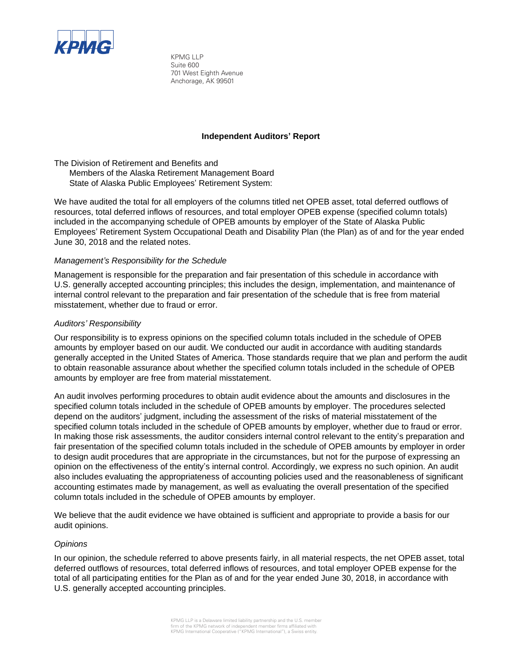

KPMG LLP Suite 600 701 West Eighth Avenue Anchorage, AK 99501

#### **Independent Auditors' Report**

The Division of Retirement and Benefits and Members of the Alaska Retirement Management Board State of Alaska Public Employees' Retirement System:

We have audited the total for all employers of the columns titled net OPEB asset, total deferred outflows of resources, total deferred inflows of resources, and total employer OPEB expense (specified column totals) included in the accompanying schedule of OPEB amounts by employer of the State of Alaska Public Employees' Retirement System Occupational Death and Disability Plan (the Plan) as of and for the year ended June 30, 2018 and the related notes.

#### *Management's Responsibility for the Schedule*

Management is responsible for the preparation and fair presentation of this schedule in accordance with U.S. generally accepted accounting principles; this includes the design, implementation, and maintenance of internal control relevant to the preparation and fair presentation of the schedule that is free from material misstatement, whether due to fraud or error.

#### *Auditors' Responsibility*

Our responsibility is to express opinions on the specified column totals included in the schedule of OPEB amounts by employer based on our audit. We conducted our audit in accordance with auditing standards generally accepted in the United States of America. Those standards require that we plan and perform the audit to obtain reasonable assurance about whether the specified column totals included in the schedule of OPEB amounts by employer are free from material misstatement.

An audit involves performing procedures to obtain audit evidence about the amounts and disclosures in the specified column totals included in the schedule of OPEB amounts by employer. The procedures selected depend on the auditors' judgment, including the assessment of the risks of material misstatement of the specified column totals included in the schedule of OPEB amounts by employer, whether due to fraud or error. In making those risk assessments, the auditor considers internal control relevant to the entity's preparation and fair presentation of the specified column totals included in the schedule of OPEB amounts by employer in order to design audit procedures that are appropriate in the circumstances, but not for the purpose of expressing an opinion on the effectiveness of the entity's internal control. Accordingly, we express no such opinion. An audit also includes evaluating the appropriateness of accounting policies used and the reasonableness of significant accounting estimates made by management, as well as evaluating the overall presentation of the specified column totals included in the schedule of OPEB amounts by employer.

We believe that the audit evidence we have obtained is sufficient and appropriate to provide a basis for our audit opinions.

#### *Opinions*

In our opinion, the schedule referred to above presents fairly, in all material respects, the net OPEB asset, total deferred outflows of resources, total deferred inflows of resources, and total employer OPEB expense for the total of all participating entities for the Plan as of and for the year ended June 30, 2018, in accordance with U.S. generally accepted accounting principles.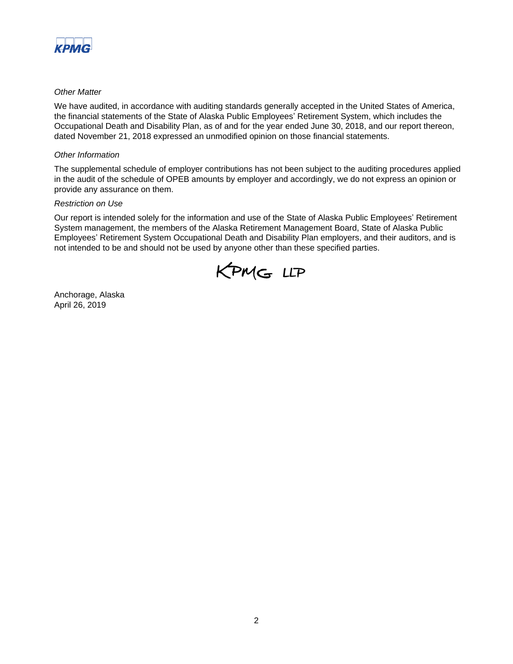

#### *Other Matter*

We have audited, in accordance with auditing standards generally accepted in the United States of America, the financial statements of the State of Alaska Public Employees' Retirement System, which includes the Occupational Death and Disability Plan, as of and for the year ended June 30, 2018, and our report thereon, dated November 21, 2018 expressed an unmodified opinion on those financial statements.

#### *Other Information*

The supplemental schedule of employer contributions has not been subject to the auditing procedures applied in the audit of the schedule of OPEB amounts by employer and accordingly, we do not express an opinion or provide any assurance on them.

#### *Restriction on Use*

Our report is intended solely for the information and use of the State of Alaska Public Employees' Retirement System management, the members of the Alaska Retirement Management Board, State of Alaska Public Employees' Retirement System Occupational Death and Disability Plan employers, and their auditors, and is not intended to be and should not be used by anyone other than these specified parties.



Anchorage, Alaska April 26, 2019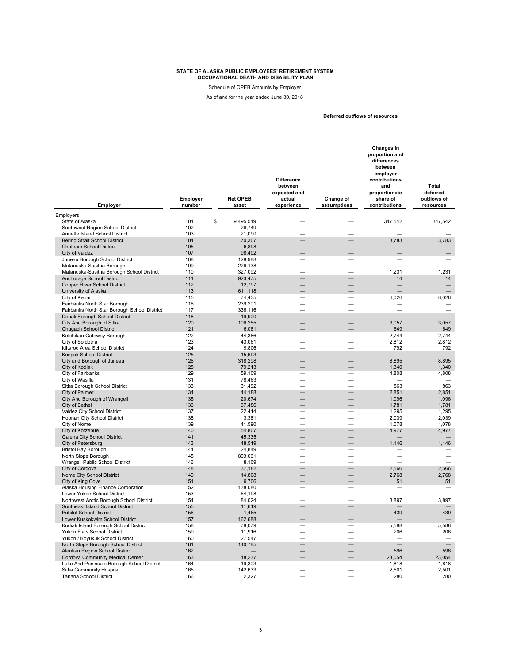Schedule of OPEB Amounts by Employer

As of and for the year ended June 30, 2018

**Deferred outflows of resources** 

| Employer                                                                     | Employer<br>number | Net OPEB<br>asset  | <b>Difference</b><br>between<br>expected and<br>actual<br>experience | Change of<br>assumptions | Changes in<br>proportion and<br>differences<br>between<br>employer<br>contributions<br>and<br>proportionate<br>share of<br>contributions | <b>Total</b><br>deferred<br>outflows of<br>resources |
|------------------------------------------------------------------------------|--------------------|--------------------|----------------------------------------------------------------------|--------------------------|------------------------------------------------------------------------------------------------------------------------------------------|------------------------------------------------------|
| Employers:                                                                   |                    |                    |                                                                      |                          |                                                                                                                                          |                                                      |
| State of Alaska                                                              | 101                | \$<br>9.495.519    |                                                                      |                          | 347,542                                                                                                                                  | 347,542                                              |
| Southwest Region School District                                             | 102                | 26,749             | $\overline{\phantom{0}}$                                             | $\overline{\phantom{0}}$ |                                                                                                                                          |                                                      |
| Annette Island School District                                               | 103                | 21,090             |                                                                      |                          |                                                                                                                                          |                                                      |
| <b>Bering Strait School District</b>                                         | 104                | 70,307             |                                                                      |                          | 3,783                                                                                                                                    | 3,783                                                |
| <b>Chatham School District</b>                                               | 105                | 6,898              |                                                                      |                          |                                                                                                                                          |                                                      |
| City of Valdez                                                               | 107<br>108         | 98,402             |                                                                      |                          |                                                                                                                                          |                                                      |
| Juneau Borough School District<br>Matanuska-Susitna Borough                  | 109                | 128,988<br>226,138 |                                                                      | $\overline{\phantom{0}}$ | ÷                                                                                                                                        | $\overline{\phantom{a}}$                             |
| Matanuska-Susitna Borough School District                                    | 110                | 327,092            |                                                                      |                          | 1,231                                                                                                                                    | 1,231                                                |
| Anchorage School District                                                    | 111                | 923,475            |                                                                      |                          | 14                                                                                                                                       | 14                                                   |
| <b>Copper River School District</b>                                          | 112                | 12,797             |                                                                      |                          |                                                                                                                                          | $\overline{\phantom{0}}$                             |
| University of Alaska                                                         | 113                | 611,118            |                                                                      |                          |                                                                                                                                          |                                                      |
| City of Kenai                                                                | 115                | 74,435             |                                                                      |                          | 6,026                                                                                                                                    | 6,026                                                |
| Fairbanks North Star Borough                                                 | 116                | 239,201            |                                                                      |                          |                                                                                                                                          |                                                      |
| Fairbanks North Star Borough School District                                 | 117                | 336,116            |                                                                      |                          |                                                                                                                                          |                                                      |
| Denali Borough School District                                               | 118                | 19,900             |                                                                      |                          |                                                                                                                                          |                                                      |
| City And Borough of Sitka                                                    | 120                | 106,255            |                                                                      | $\overline{\phantom{0}}$ | 3,057                                                                                                                                    | 3,057                                                |
| <b>Chugach School District</b>                                               | 121                | 6,081              |                                                                      |                          | 649                                                                                                                                      | 649                                                  |
| Ketchikan Gateway Borough                                                    | 122                | 44,386             |                                                                      |                          | 2,744                                                                                                                                    | 2,744                                                |
| City of Soldotna<br>Iditarod Area School District                            | 123<br>124         | 43,061<br>9,806    |                                                                      |                          | 2,812<br>792                                                                                                                             | 2,812<br>792                                         |
| <b>Kuspuk School District</b>                                                | 125                | 15,693             |                                                                      |                          |                                                                                                                                          |                                                      |
| City and Borough of Juneau                                                   | 126                | 318,298            |                                                                      |                          | 8,895                                                                                                                                    | 8,895                                                |
| City of Kodiak                                                               | 128                | 79,213             |                                                                      |                          | 1,340                                                                                                                                    | 1,340                                                |
| City of Fairbanks                                                            | 129                | 59,109             |                                                                      |                          | 4,808                                                                                                                                    | 4,808                                                |
| City of Wasilla                                                              | 131                | 78,463             |                                                                      |                          |                                                                                                                                          |                                                      |
| Sitka Borough School District                                                | 133                | 31,492             |                                                                      |                          | 863                                                                                                                                      | 863                                                  |
| City of Palmer                                                               | 134                | 44,188             |                                                                      |                          | 2,851                                                                                                                                    | 2,851                                                |
| City And Borough of Wrangell                                                 | 135                | 20,674             |                                                                      |                          | 1,096                                                                                                                                    | 1,096                                                |
| City of Bethel                                                               | 136                | 67,486             |                                                                      |                          | 1,781                                                                                                                                    | 1,781                                                |
| Valdez City School District                                                  | 137                | 22,414             |                                                                      |                          | 1,295                                                                                                                                    | 1,295                                                |
| Hoonah City School District<br>City of Nome                                  | 138<br>139         | 3,381<br>41,590    |                                                                      |                          | 2,039<br>1,078                                                                                                                           | 2,039<br>1,078                                       |
| City of Kotzebue                                                             | 140                | 54,807             |                                                                      |                          | 4,977                                                                                                                                    | 4,977                                                |
| Galena City School District                                                  | 141                | 45,335             |                                                                      |                          |                                                                                                                                          |                                                      |
| City of Petersburg                                                           | 143                | 48,519             |                                                                      |                          | 1,146                                                                                                                                    | 1,146                                                |
| <b>Bristol Bay Borough</b>                                                   | 144                | 24,849             |                                                                      |                          |                                                                                                                                          |                                                      |
| North Slope Borough                                                          | 145                | 803,061            |                                                                      |                          |                                                                                                                                          |                                                      |
| Wrangell Public School District                                              | 146                | 8,109              |                                                                      |                          |                                                                                                                                          |                                                      |
| City of Cordova                                                              | 148                | 37,182             |                                                                      |                          | 2.566                                                                                                                                    | 2,566                                                |
| Nome City School District                                                    | 149                | 14,808             |                                                                      | $\overline{\phantom{0}}$ | 2,768                                                                                                                                    | 2,768                                                |
| City of King Cove                                                            | 151                | 9,706              |                                                                      |                          | 51                                                                                                                                       | 51                                                   |
| Alaska Housing Finance Corporation                                           | 152                | 138,080            |                                                                      |                          |                                                                                                                                          |                                                      |
| Lower Yukon School District                                                  | 153                | 64,198             |                                                                      |                          |                                                                                                                                          |                                                      |
| Northwest Arctic Borough School District<br>Southeast Island School District | 154<br>155         | 84,024<br>11,619   |                                                                      |                          | 3,897                                                                                                                                    | 3,897                                                |
| <b>Pribilof School District</b>                                              | 156                | 1,465              |                                                                      |                          | 439                                                                                                                                      | 439                                                  |
| Lower Kuskokwim School District                                              | 157                | 162,688            |                                                                      |                          |                                                                                                                                          |                                                      |
| Kodiak Island Borough School District                                        | 158                | 78,079             |                                                                      |                          | 5,588                                                                                                                                    | 5,588                                                |
| Yukon Flats School District                                                  | 159                | 11,916             |                                                                      |                          | 206                                                                                                                                      | 206                                                  |
| Yukon / Koyukuk School District                                              | 160                | 27,547             |                                                                      |                          |                                                                                                                                          |                                                      |
| North Slope Borough School District                                          | 161                | 140,785            |                                                                      |                          |                                                                                                                                          |                                                      |
| Aleutian Region School District                                              | 162                |                    |                                                                      |                          | 596                                                                                                                                      | 596                                                  |
| Cordova Community Medical Center                                             | 163                | 18.237             |                                                                      |                          | 23.054                                                                                                                                   | 23.054                                               |
| Lake And Peninsula Borough School District                                   | 164                | 19,303             |                                                                      |                          | 1,818                                                                                                                                    | 1,818                                                |
| Sitka Community Hospital                                                     | 165                | 142,633            |                                                                      |                          | 2,501                                                                                                                                    | 2,501                                                |
| Tanana School District                                                       | 166                | 2,327              |                                                                      |                          | 280                                                                                                                                      | 280                                                  |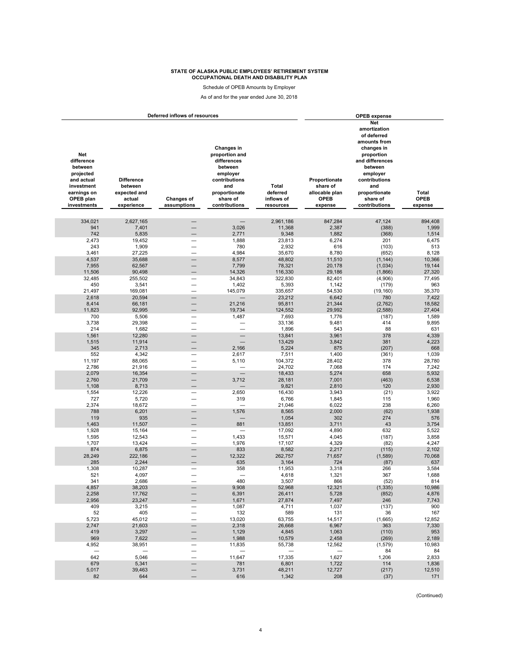Schedule of OPEB Amounts by Employer

As of and for the year ended June 30, 2018

| Deferred inflows of resources                                                                                           |                                                                      |                                  |                                                                                                                                          |                                                     |                                                                       | <b>OPEB</b> expense                                                                                                                                                                            |                                        |  |  |  |
|-------------------------------------------------------------------------------------------------------------------------|----------------------------------------------------------------------|----------------------------------|------------------------------------------------------------------------------------------------------------------------------------------|-----------------------------------------------------|-----------------------------------------------------------------------|------------------------------------------------------------------------------------------------------------------------------------------------------------------------------------------------|----------------------------------------|--|--|--|
| <b>Net</b><br>difference<br>between<br>projected<br>and actual<br>investment<br>earnings on<br>OPEB plan<br>investments | <b>Difference</b><br>between<br>expected and<br>actual<br>experience | <b>Changes of</b><br>assumptions | Changes in<br>proportion and<br>differences<br>between<br>employer<br>contributions<br>and<br>proportionate<br>share of<br>contributions | <b>Total</b><br>deferred<br>inflows of<br>resources | Proportionate<br>share of<br>allocable plan<br><b>OPEB</b><br>expense | Net<br>amortization<br>of deferred<br>amounts from<br>changes in<br>proportion<br>and differences<br>between<br>employer<br>contributions<br>and<br>proportionate<br>share of<br>contributions | <b>Total</b><br><b>OPEB</b><br>expense |  |  |  |
| 334,021                                                                                                                 | 2.627.165                                                            | $\overline{\phantom{0}}$         |                                                                                                                                          | 2,961,186                                           | 847,284                                                               | 47,124                                                                                                                                                                                         | 894,408                                |  |  |  |
| 941                                                                                                                     | 7,401                                                                | $\overline{\phantom{0}}$         | 3,026                                                                                                                                    | 11,368                                              | 2,387                                                                 | (388)                                                                                                                                                                                          | 1,999                                  |  |  |  |
| 742                                                                                                                     | 5,835                                                                |                                  | 2,771                                                                                                                                    | 9,348                                               | 1,882                                                                 | (368)                                                                                                                                                                                          | 1,514                                  |  |  |  |
| 2,473                                                                                                                   | 19,452                                                               |                                  | 1,888                                                                                                                                    | 23,813                                              | 6,274                                                                 | 201                                                                                                                                                                                            | 6,475                                  |  |  |  |
| 243                                                                                                                     | 1,909                                                                | $\overline{\phantom{0}}$         | 780                                                                                                                                      | 2,932                                               | 616                                                                   | (103)                                                                                                                                                                                          | 513                                    |  |  |  |
| 3,461                                                                                                                   | 27,225                                                               |                                  | 4,984                                                                                                                                    | 35,670                                              | 8,780                                                                 | (652)                                                                                                                                                                                          | 8,128                                  |  |  |  |
| 4,537                                                                                                                   | 35,688                                                               |                                  | 8,577                                                                                                                                    | 48,802                                              | 11,510                                                                | (1, 144)                                                                                                                                                                                       | 10,366                                 |  |  |  |
| 7,955<br>11,506                                                                                                         | 62,567<br>90,498                                                     |                                  | 7,799<br>14,326                                                                                                                          | 78,321<br>116,330                                   | 20,178<br>29,186                                                      | (1,034)<br>(1,866)                                                                                                                                                                             | 19,144<br>27,320                       |  |  |  |
| 32,485                                                                                                                  | 255,502                                                              |                                  | 34,843                                                                                                                                   | 322,830                                             | 82,401                                                                | (4,906)                                                                                                                                                                                        | 77,495                                 |  |  |  |
| 450                                                                                                                     | 3,541                                                                | $\overline{\phantom{0}}$         | 1,402                                                                                                                                    | 5,393                                               | 1,142                                                                 | (179)                                                                                                                                                                                          | 963                                    |  |  |  |
| 21,497                                                                                                                  | 169,081                                                              | ▃                                | 145,079                                                                                                                                  | 335,657                                             | 54,530                                                                | (19, 160)                                                                                                                                                                                      | 35.370                                 |  |  |  |
| 2,618                                                                                                                   | 20,594                                                               | and and the season.              | $\overline{\phantom{0}}$                                                                                                                 | 23,212                                              | 6,642                                                                 | 780                                                                                                                                                                                            | 7,422                                  |  |  |  |
| 8,414                                                                                                                   | 66,181                                                               |                                  | 21,216                                                                                                                                   | 95,811                                              | 21,344                                                                | (2,762)                                                                                                                                                                                        | 18,582                                 |  |  |  |
| 11,823                                                                                                                  | 92,995                                                               |                                  | 19,734                                                                                                                                   | 124,552                                             | 29,992                                                                | (2, 588)                                                                                                                                                                                       | 27,404                                 |  |  |  |
| 700                                                                                                                     | 5,506                                                                |                                  | 1,487                                                                                                                                    | 7,693                                               | 1,776                                                                 | (187)                                                                                                                                                                                          | 1,589                                  |  |  |  |
| 3,738                                                                                                                   | 29,398                                                               | $\overline{\phantom{0}}$         |                                                                                                                                          | 33,136                                              | 9,481                                                                 | 414                                                                                                                                                                                            | 9,895                                  |  |  |  |
| 214<br>1,561                                                                                                            | 1,682<br>12.280                                                      |                                  |                                                                                                                                          | 1,896<br>13.841                                     | 543<br>3,961                                                          | 88<br>378                                                                                                                                                                                      | 631<br>4,339                           |  |  |  |
| 1,515                                                                                                                   | 11,914                                                               |                                  |                                                                                                                                          | 13,429                                              | 3,842                                                                 | 381                                                                                                                                                                                            | 4,223                                  |  |  |  |
| 345                                                                                                                     | 2,713                                                                |                                  | 2,166                                                                                                                                    | 5,224                                               | 875                                                                   | (207)                                                                                                                                                                                          | 668                                    |  |  |  |
| 552                                                                                                                     | 4,342                                                                |                                  | 2,617                                                                                                                                    | 7,511                                               | 1,400                                                                 | (361)                                                                                                                                                                                          | 1,039                                  |  |  |  |
| 11,197                                                                                                                  | 88,065                                                               |                                  | 5,110                                                                                                                                    | 104,372                                             | 28,402                                                                | 378                                                                                                                                                                                            | 28,780                                 |  |  |  |
| 2,786                                                                                                                   | 21,916                                                               |                                  | $\overline{\phantom{0}}$                                                                                                                 | 24,702                                              | 7,068                                                                 | 174                                                                                                                                                                                            | 7,242                                  |  |  |  |
| 2,079                                                                                                                   | 16,354                                                               |                                  |                                                                                                                                          | 18,433                                              | 5,274                                                                 | 658                                                                                                                                                                                            | 5,932                                  |  |  |  |
| 2,760                                                                                                                   | 21,709                                                               |                                  | 3,712                                                                                                                                    | 28,181                                              | 7,001                                                                 | (463)                                                                                                                                                                                          | 6,538                                  |  |  |  |
| 1,108                                                                                                                   | 8,713                                                                |                                  |                                                                                                                                          | 9,821                                               | 2,810                                                                 | 120                                                                                                                                                                                            | 2,930                                  |  |  |  |
| 1,554                                                                                                                   | 12,226                                                               |                                  | 2,650                                                                                                                                    | 16,430                                              | 3,943                                                                 | (21)                                                                                                                                                                                           | 3,922                                  |  |  |  |
| 727                                                                                                                     | 5,720                                                                | -                                | 319                                                                                                                                      | 6,766                                               | 1,845                                                                 | 115<br>238                                                                                                                                                                                     | 1,960                                  |  |  |  |
| 2,374<br>788                                                                                                            | 18,672<br>6,201                                                      |                                  | 1,576                                                                                                                                    | 21,046<br>8,565                                     | 6,022<br>2,000                                                        | (62)                                                                                                                                                                                           | 6,260<br>1,938                         |  |  |  |
| 119                                                                                                                     | 935                                                                  | -                                |                                                                                                                                          | 1,054                                               | 302                                                                   | 274                                                                                                                                                                                            | 576                                    |  |  |  |
| 1,463                                                                                                                   | 11,507                                                               |                                  | 881                                                                                                                                      | 13,851                                              | 3,711                                                                 | 43                                                                                                                                                                                             | 3,754                                  |  |  |  |
| 1,928                                                                                                                   | 15,164                                                               |                                  |                                                                                                                                          | 17,092                                              | 4,890                                                                 | 632                                                                                                                                                                                            | 5,522                                  |  |  |  |
| 1,595                                                                                                                   | 12.543                                                               |                                  | 1,433                                                                                                                                    | 15,571                                              | 4,045                                                                 | (187)                                                                                                                                                                                          | 3,858                                  |  |  |  |
| 1,707                                                                                                                   | 13,424                                                               | $\overline{\phantom{0}}$         | 1,976                                                                                                                                    | 17,107                                              | 4,329                                                                 | (82)                                                                                                                                                                                           | 4,247                                  |  |  |  |
| 874                                                                                                                     | 6,875                                                                |                                  | 833                                                                                                                                      | 8,582                                               | 2,217                                                                 | (115)                                                                                                                                                                                          | 2,102                                  |  |  |  |
| 28,249<br>285                                                                                                           | 222,186                                                              |                                  | 12,322<br>635                                                                                                                            | 262,757                                             | 71,657<br>724                                                         | (1, 589)                                                                                                                                                                                       | 70,068<br>637                          |  |  |  |
| 1,308                                                                                                                   | 2,244<br>10,287                                                      | -                                | 358                                                                                                                                      | 3,164<br>11,953                                     | 3,318                                                                 | (87)<br>266                                                                                                                                                                                    | 3,584                                  |  |  |  |
| 521                                                                                                                     | 4,097                                                                |                                  | $\overline{\phantom{0}}$                                                                                                                 | 4,618                                               | 1,321                                                                 | 367                                                                                                                                                                                            | 1,688                                  |  |  |  |
| 341                                                                                                                     | 2,686                                                                | <u>e a</u>                       | 480                                                                                                                                      | 3,507                                               | 866                                                                   | (52)                                                                                                                                                                                           | 814                                    |  |  |  |
| 4,857                                                                                                                   | 38,203                                                               |                                  | 9,908                                                                                                                                    | 52,968                                              | 12,321                                                                | (1, 335)                                                                                                                                                                                       | 10,986                                 |  |  |  |
| 2,258                                                                                                                   | 17,762                                                               |                                  | 6,391                                                                                                                                    | 26,411                                              | 5,728                                                                 | (852)                                                                                                                                                                                          | 4,876                                  |  |  |  |
| 2,956                                                                                                                   | 23,247                                                               |                                  | 1,671                                                                                                                                    | 27,874                                              | 7,497                                                                 | 246                                                                                                                                                                                            | 7,743                                  |  |  |  |
| 409                                                                                                                     | 3,215                                                                |                                  | 1,087                                                                                                                                    | 4,711                                               | 1,037                                                                 | (137)                                                                                                                                                                                          | 900                                    |  |  |  |
| 52                                                                                                                      | 405                                                                  | —                                | 132                                                                                                                                      | 589                                                 | 131                                                                   | 36                                                                                                                                                                                             | 167                                    |  |  |  |
| 5,723                                                                                                                   | 45,012                                                               | —                                | 13,020                                                                                                                                   | 63,755                                              | 14,517                                                                | (1,665)                                                                                                                                                                                        | 12,852                                 |  |  |  |
| 2,747<br>419                                                                                                            | 21,603<br>3,297                                                      |                                  | 2,318<br>1,129                                                                                                                           | 26,668<br>4,845                                     | 6,967<br>1,063                                                        | 363<br>(110)                                                                                                                                                                                   | 7,330<br>953                           |  |  |  |
| 969                                                                                                                     | 7,622                                                                | —                                | 1,988                                                                                                                                    | 10,579                                              | 2,458                                                                 | (269)                                                                                                                                                                                          | 2,189                                  |  |  |  |
| 4,952                                                                                                                   | 38,951                                                               |                                  | 11,835                                                                                                                                   | 55,738                                              | 12,562                                                                | (1, 579)                                                                                                                                                                                       | 10,983                                 |  |  |  |
| $\overline{\phantom{0}}$                                                                                                | $\overbrace{\phantom{123221111}}$                                    |                                  | $\qquad \qquad -$                                                                                                                        | $\overline{\phantom{0}}$                            | $\overline{\phantom{m}}$                                              | 84                                                                                                                                                                                             | 84                                     |  |  |  |
| 642                                                                                                                     | 5,046                                                                |                                  | 11,647                                                                                                                                   | 17,335                                              | 1,627                                                                 | 1,206                                                                                                                                                                                          | 2,833                                  |  |  |  |
| 679                                                                                                                     | 5,341                                                                |                                  | 781                                                                                                                                      | 6,801                                               | 1,722                                                                 | 114                                                                                                                                                                                            | 1,836                                  |  |  |  |
| 5,017                                                                                                                   | 39,463                                                               |                                  | 3,731                                                                                                                                    | 48,211                                              | 12,727                                                                | (217)                                                                                                                                                                                          | 12,510                                 |  |  |  |
| 82                                                                                                                      | 644                                                                  |                                  | 616                                                                                                                                      | 1,342                                               | 208                                                                   | (37)                                                                                                                                                                                           | 171                                    |  |  |  |

(Continued)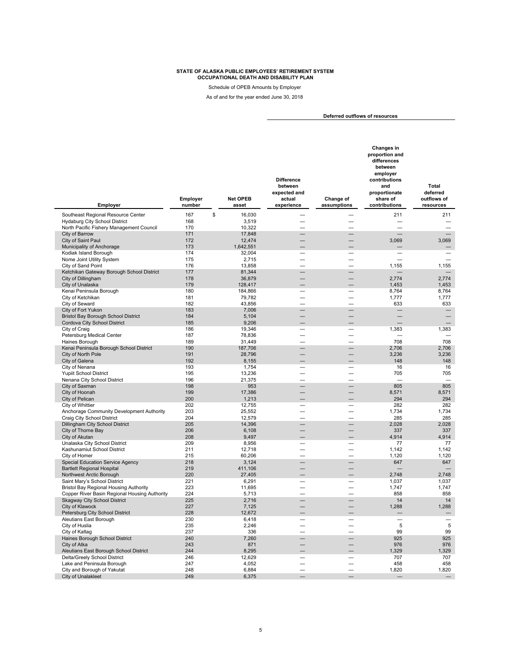Schedule of OPEB Amounts by Employer

As of and for the year ended June 30, 2018

**Deferred outflows of resources** 

| Employer                                                                                       | Employer<br>number | <b>Net OPEB</b><br>asset | <b>Difference</b><br>between<br>expected and<br>actual<br>experience | Change of<br>assumptions | Changes in<br>proportion and<br>differences<br>between<br>employer<br>contributions<br>and<br>proportionate<br>share of<br>contributions | <b>Total</b><br>deferred<br>outflows of<br>resources |
|------------------------------------------------------------------------------------------------|--------------------|--------------------------|----------------------------------------------------------------------|--------------------------|------------------------------------------------------------------------------------------------------------------------------------------|------------------------------------------------------|
| Southeast Regional Resource Center                                                             | 167<br>\$          | 16,030                   |                                                                      |                          | 211                                                                                                                                      | 211                                                  |
| Hydaburg City School District                                                                  | 168                | 3,519                    |                                                                      |                          |                                                                                                                                          |                                                      |
| North Pacific Fishery Management Council                                                       | 170                | 10.322                   |                                                                      |                          |                                                                                                                                          |                                                      |
| City of Barrow                                                                                 | 171                | 17,848                   |                                                                      |                          |                                                                                                                                          |                                                      |
| City of Saint Paul                                                                             | 172                | 12,474                   |                                                                      |                          | 3,069                                                                                                                                    | 3,069                                                |
| Municipality of Anchorage                                                                      | 173                | 1,642,551                |                                                                      |                          |                                                                                                                                          |                                                      |
| Kodiak Island Borough                                                                          | 174                | 32,004                   |                                                                      |                          |                                                                                                                                          |                                                      |
| Nome Joint Utility System                                                                      | 175                | 2,715                    |                                                                      |                          |                                                                                                                                          |                                                      |
| City of Sand Point<br>Ketchikan Gateway Borough School District                                | 176<br>177         | 13,858<br>81,344         |                                                                      |                          | 1,155                                                                                                                                    | 1,155                                                |
| City of Dillingham                                                                             | 178                | 36,879                   |                                                                      |                          | 2,774                                                                                                                                    | 2,774                                                |
| City of Unalaska                                                                               | 179                | 128,417                  |                                                                      |                          | 1,453                                                                                                                                    | 1,453                                                |
| Kenai Peninsula Borough                                                                        | 180                | 184,866                  |                                                                      |                          | 8,764                                                                                                                                    | 8,764                                                |
| City of Ketchikan                                                                              | 181                | 79,782                   |                                                                      |                          | 1,777                                                                                                                                    | 1,777                                                |
| City of Seward                                                                                 | 182                | 43,856                   | $\overline{\phantom{a}}$                                             | $\equiv$                 | 633                                                                                                                                      | 633                                                  |
| City of Fort Yukon                                                                             | 183                | 7,006                    |                                                                      |                          |                                                                                                                                          |                                                      |
| <b>Bristol Bay Borough School District</b>                                                     | 184                | 5,104                    |                                                                      |                          |                                                                                                                                          |                                                      |
| Cordova City School District<br>City of Craig                                                  | 185<br>186         | 9,206<br>19,346          |                                                                      |                          | 1,383                                                                                                                                    | 1,383                                                |
| Petersburg Medical Center                                                                      | 187                | 78,836                   |                                                                      |                          |                                                                                                                                          |                                                      |
| Haines Borough                                                                                 | 189                | 31,449                   |                                                                      |                          | 708                                                                                                                                      | 708                                                  |
| Kenai Peninsula Borough School District                                                        | 190                | 187,706                  |                                                                      |                          | 2,706                                                                                                                                    | 2,706                                                |
| City of North Pole                                                                             | 191                | 28,796                   |                                                                      |                          | 3,236                                                                                                                                    | 3,236                                                |
| City of Galena                                                                                 | 192                | 8,155                    |                                                                      |                          | 148                                                                                                                                      | 148                                                  |
| City of Nenana                                                                                 | 193                | 1,754                    |                                                                      |                          | 16                                                                                                                                       | 16                                                   |
| <b>Yupiit School District</b>                                                                  | 195                | 13,236                   | $\overline{\phantom{0}}$                                             | $\equiv$                 | 705                                                                                                                                      | 705                                                  |
| Nenana City School District<br>City of Saxman                                                  | 196<br>198         | 21,375<br>953            |                                                                      |                          | 805                                                                                                                                      | 805                                                  |
| City of Hoonah                                                                                 | 199                | 17,386                   |                                                                      |                          | 8,571                                                                                                                                    | 8,571                                                |
| City of Pelican                                                                                | 200                | 1,213                    |                                                                      |                          | 294                                                                                                                                      | 294                                                  |
| City of Whittier                                                                               | 202                | 12,755                   |                                                                      |                          | 282                                                                                                                                      | 282                                                  |
| Anchorage Community Development Authority                                                      | 203                | 25,552                   |                                                                      | $\equiv$                 | 1,734                                                                                                                                    | 1,734                                                |
| Craig City School District                                                                     | 204                | 12,579                   |                                                                      |                          | 285                                                                                                                                      | 285                                                  |
| Dillingham City School District                                                                | 205                | 14,396                   |                                                                      | $\overline{\phantom{0}}$ | 2,028                                                                                                                                    | 2,028                                                |
| City of Thorne Bay                                                                             | 206                | 6,108                    |                                                                      |                          | 337                                                                                                                                      | 337                                                  |
| City of Akutan<br>Unalaska City School District                                                | 208<br>209         | 9,497                    |                                                                      |                          | 4,914<br>77                                                                                                                              | 4,914                                                |
| Kashunamiut School District                                                                    | 211                | 8,956<br>12,718          |                                                                      |                          | 1,142                                                                                                                                    | 77<br>1,142                                          |
| City of Homer                                                                                  | 215                | 60,206                   |                                                                      |                          | 1,120                                                                                                                                    | 1,120                                                |
| <b>Special Education Service Agency</b>                                                        | 218                | 3,124                    |                                                                      |                          | 647                                                                                                                                      | 647                                                  |
| <b>Bartlett Regional Hospital</b>                                                              | 219                | 411,106                  |                                                                      |                          |                                                                                                                                          |                                                      |
| Northwest Arctic Borough                                                                       | 220                | 27,405                   |                                                                      |                          | 2,748                                                                                                                                    | 2,748                                                |
| Saint Mary's School District                                                                   | 221                | 6,291                    |                                                                      |                          | 1,037                                                                                                                                    | 1,037                                                |
| <b>Bristol Bay Regional Housing Authority</b><br>Copper River Basin Regional Housing Authority | 223<br>224         | 11,695                   |                                                                      |                          | 1.747<br>858                                                                                                                             | 1,747<br>858                                         |
| Skagway City School District                                                                   | 225                | 5,713<br>2,716           |                                                                      |                          | 14                                                                                                                                       | 14                                                   |
| <b>City of Klawock</b>                                                                         | 227                | 7,125                    |                                                                      |                          | 1,288                                                                                                                                    | 1,288                                                |
| Petersburg City School District                                                                | 228                | 12,672                   |                                                                      |                          |                                                                                                                                          |                                                      |
| Aleutians East Borough                                                                         | 230                | 6,418                    |                                                                      |                          |                                                                                                                                          |                                                      |
| City of Huslia                                                                                 | 235                | 2,246                    |                                                                      |                          | 5                                                                                                                                        | 5                                                    |
| City of Kaltag                                                                                 | 237                | 336                      |                                                                      |                          | 99                                                                                                                                       | 99                                                   |
| Haines Borough School District                                                                 | 240                | 7,260                    |                                                                      |                          | 925                                                                                                                                      | 925                                                  |
| City of Atka                                                                                   | 243<br>244         | 871<br>8,295             |                                                                      |                          | 976<br>1,329                                                                                                                             | 976<br>1,329                                         |
| Aleutians East Borough School District<br>Delta/Greely School District                         | 246                | 12,629                   |                                                                      |                          | 707                                                                                                                                      | 707                                                  |
| Lake and Peninsula Borough                                                                     | 247                | 4,052                    |                                                                      | $\overline{\phantom{0}}$ | 458                                                                                                                                      | 458                                                  |
| City and Borough of Yakutat                                                                    | 248                | 6,884                    |                                                                      |                          | 1,820                                                                                                                                    | 1,820                                                |
| City of Unalakleet                                                                             | 249                | 6,375                    |                                                                      |                          |                                                                                                                                          |                                                      |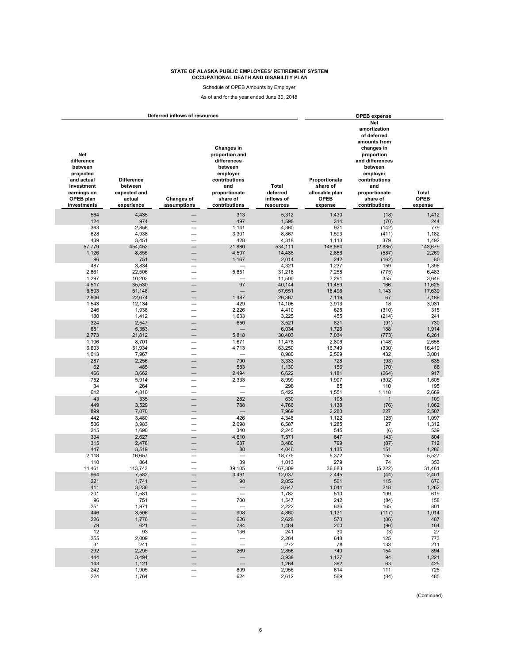Schedule of OPEB Amounts by Employer

As of and for the year ended June 30, 2018

|                                                                                                                  |                                                                      | Deferred inflows of resources                        | <b>OPEB</b> expense                                                                                                                      |                                              |                                                                       |                                                                                                                                                                                                |                                 |
|------------------------------------------------------------------------------------------------------------------|----------------------------------------------------------------------|------------------------------------------------------|------------------------------------------------------------------------------------------------------------------------------------------|----------------------------------------------|-----------------------------------------------------------------------|------------------------------------------------------------------------------------------------------------------------------------------------------------------------------------------------|---------------------------------|
| Net<br>difference<br>between<br>projected<br>and actual<br>investment<br>earnings on<br>OPEB plan<br>investments | <b>Difference</b><br>between<br>expected and<br>actual<br>experience | <b>Changes of</b><br>assumptions                     | Changes in<br>proportion and<br>differences<br>between<br>employer<br>contributions<br>and<br>proportionate<br>share of<br>contributions | Total<br>deferred<br>inflows of<br>resources | Proportionate<br>share of<br>allocable plan<br><b>OPEB</b><br>expense | Net<br>amortization<br>of deferred<br>amounts from<br>changes in<br>proportion<br>and differences<br>between<br>employer<br>contributions<br>and<br>proportionate<br>share of<br>contributions | Total<br><b>OPEB</b><br>expense |
| 564                                                                                                              | 4,435                                                                |                                                      | 313                                                                                                                                      | 5,312                                        | 1,430                                                                 | (18)                                                                                                                                                                                           | 1,412                           |
| 124                                                                                                              | 974                                                                  |                                                      | 497                                                                                                                                      | 1,595                                        | 314                                                                   | (70)                                                                                                                                                                                           | 244                             |
| 363                                                                                                              | 2,856                                                                |                                                      | 1,141                                                                                                                                    | 4,360                                        | 921                                                                   | (142)                                                                                                                                                                                          | 779                             |
| 628                                                                                                              | 4,938                                                                |                                                      | 3,301                                                                                                                                    | 8,867                                        | 1,593                                                                 | (411)                                                                                                                                                                                          | 1,182                           |
| 439                                                                                                              | 3,451                                                                |                                                      | 428                                                                                                                                      | 4,318                                        | 1,113                                                                 | 379                                                                                                                                                                                            | 1,492                           |
| 57,779                                                                                                           | 454,452                                                              | $\overline{\phantom{0}}$                             | 21,880                                                                                                                                   | 534,111                                      | 146,564                                                               | (2,885)                                                                                                                                                                                        | 143,679                         |
| 1,126                                                                                                            | 8,855                                                                |                                                      | 4,507                                                                                                                                    | 14,488                                       | 2,856                                                                 | (587)                                                                                                                                                                                          | 2,269                           |
| 96<br>487                                                                                                        | 751<br>3,834                                                         |                                                      | 1,167                                                                                                                                    | 2,014                                        | 242                                                                   | (162)<br>159                                                                                                                                                                                   | 80<br>1,396                     |
| 2,861                                                                                                            | 22,506                                                               | $\overline{\phantom{0}}$                             | 5,851                                                                                                                                    | 4,321<br>31,218                              | 1,237<br>7,258                                                        | (775)                                                                                                                                                                                          | 6,483                           |
| 1,297                                                                                                            | 10,203                                                               | $\overline{\phantom{0}}$                             | $\overline{\phantom{0}}$                                                                                                                 | 11,500                                       | 3,291                                                                 | 355                                                                                                                                                                                            | 3,646                           |
| 4,517                                                                                                            | 35,530                                                               | $\overline{\phantom{0}}$                             | 97                                                                                                                                       | 40,144                                       | 11,459                                                                | 166                                                                                                                                                                                            | 11,625                          |
| 6,503                                                                                                            | 51,148                                                               |                                                      |                                                                                                                                          | 57,651                                       | 16,496                                                                | 1,143                                                                                                                                                                                          | 17,639                          |
| 2,806                                                                                                            | 22,074                                                               |                                                      | 1,487                                                                                                                                    | 26,367                                       | 7,119                                                                 | 67                                                                                                                                                                                             | 7,186                           |
| 1,543                                                                                                            | 12,134                                                               |                                                      | 429                                                                                                                                      | 14,106                                       | 3,913                                                                 | 18                                                                                                                                                                                             | 3,931                           |
| 246                                                                                                              | 1,938                                                                | $\overline{\phantom{0}}$                             | 2,226                                                                                                                                    | 4,410                                        | 625                                                                   | (310)                                                                                                                                                                                          | 315                             |
| 180                                                                                                              | 1,412                                                                | $\overline{\phantom{0}}$                             | 1,633                                                                                                                                    | 3,225                                        | 455                                                                   | (214)                                                                                                                                                                                          | 241                             |
| 324                                                                                                              | 2,547                                                                |                                                      | 650                                                                                                                                      | 3,521                                        | 821                                                                   | (91)                                                                                                                                                                                           | 730                             |
| 681                                                                                                              | 5,353                                                                | -                                                    |                                                                                                                                          | 6,034                                        | 1,726                                                                 | 188                                                                                                                                                                                            | 1,914                           |
| 2,773                                                                                                            | 21,812                                                               |                                                      | 5,818                                                                                                                                    | 30,403                                       | 7,034                                                                 | (773)                                                                                                                                                                                          | 6,261                           |
| 1,106                                                                                                            | 8,701                                                                | $\overline{\phantom{0}}$                             | 1,671                                                                                                                                    | 11,478                                       | 2,806                                                                 | (148)                                                                                                                                                                                          | 2,658                           |
| 6,603                                                                                                            | 51,934                                                               | $\overline{\phantom{0}}$                             | 4,713                                                                                                                                    | 63,250                                       | 16,749                                                                | (330)                                                                                                                                                                                          | 16,419                          |
| 1,013                                                                                                            | 7,967                                                                | $\overline{\phantom{0}}$<br>$\overline{\phantom{0}}$ | $\equiv$<br>790                                                                                                                          | 8,980                                        | 2,569                                                                 | 432                                                                                                                                                                                            | 3,001                           |
| 287<br>62                                                                                                        | 2,256                                                                |                                                      | 583                                                                                                                                      | 3,333                                        | 728                                                                   | (93)                                                                                                                                                                                           | 635                             |
| 466                                                                                                              | 485<br>3,662                                                         |                                                      | 2,494                                                                                                                                    | 1,130<br>6,622                               | 156<br>1,181                                                          | (70)<br>(264)                                                                                                                                                                                  | 86<br>917                       |
| 752                                                                                                              | 5,914                                                                |                                                      | 2,333                                                                                                                                    | 8,999                                        | 1,907                                                                 | (302)                                                                                                                                                                                          | 1,605                           |
| 34                                                                                                               | 264                                                                  |                                                      | $\overline{\phantom{0}}$                                                                                                                 | 298                                          | 85                                                                    | 110                                                                                                                                                                                            | 195                             |
| 612                                                                                                              | 4,810                                                                | $\overline{\phantom{0}}$                             | $\overline{\phantom{0}}$                                                                                                                 | 5,422                                        | 1,551                                                                 | 1,118                                                                                                                                                                                          | 2,669                           |
| 43                                                                                                               | 335                                                                  |                                                      | 252                                                                                                                                      | 630                                          | 108                                                                   | $\mathbf{1}$                                                                                                                                                                                   | 109                             |
| 449                                                                                                              | 3,529                                                                |                                                      | 788                                                                                                                                      | 4,766                                        | 1,138                                                                 | (76)                                                                                                                                                                                           | 1,062                           |
| 899                                                                                                              | 7,070                                                                |                                                      | $\overline{\phantom{0}}$                                                                                                                 | 7,969                                        | 2,280                                                                 | 227                                                                                                                                                                                            | 2,507                           |
| 442                                                                                                              | 3,480                                                                |                                                      | 426                                                                                                                                      | 4,348                                        | 1,122                                                                 | (25)                                                                                                                                                                                           | 1,097                           |
| 506                                                                                                              | 3,983                                                                |                                                      | 2,098                                                                                                                                    | 6,587                                        | 1,285                                                                 | 27                                                                                                                                                                                             | 1,312                           |
| 215                                                                                                              | 1,690                                                                | $\overline{\phantom{0}}$                             | 340                                                                                                                                      | 2,245                                        | 545                                                                   | (6)                                                                                                                                                                                            | 539                             |
| 334                                                                                                              | 2,627                                                                |                                                      | 4,610                                                                                                                                    | 7,571                                        | 847                                                                   | (43)                                                                                                                                                                                           | 804                             |
| 315                                                                                                              | 2,478                                                                |                                                      | 687<br>80                                                                                                                                | 3,480                                        | 799                                                                   | (87)                                                                                                                                                                                           | 712                             |
| 447<br>2,118                                                                                                     | 3,519<br>16,657                                                      |                                                      | $\overline{\phantom{0}}$                                                                                                                 | 4,046<br>18,775                              | 1,135<br>5,372                                                        | 151<br>155                                                                                                                                                                                     | 1,286<br>5,527                  |
| 110                                                                                                              | 864                                                                  |                                                      | 39                                                                                                                                       | 1,013                                        | 279                                                                   | 74                                                                                                                                                                                             | 353                             |
| 14,461                                                                                                           | 113,743                                                              | $\overline{\phantom{0}}$                             | 39,105                                                                                                                                   | 167,309                                      | 36,683                                                                | (5, 222)                                                                                                                                                                                       | 31,461                          |
| 964                                                                                                              | 7,582                                                                |                                                      | 3,491                                                                                                                                    | 12,037                                       | 2,445                                                                 | (44)                                                                                                                                                                                           | 2,401                           |
| 221                                                                                                              | 1,741                                                                |                                                      | 90                                                                                                                                       | 2,052                                        | 561                                                                   | 115                                                                                                                                                                                            | 676                             |
| 411                                                                                                              | 3,236                                                                |                                                      |                                                                                                                                          | 3,64/                                        | 1,044                                                                 | 218                                                                                                                                                                                            | 1,262                           |
| 201                                                                                                              | 1,581                                                                |                                                      | $\qquad \qquad -$                                                                                                                        | 1,782                                        | 510                                                                   | 109                                                                                                                                                                                            | 619                             |
| 96                                                                                                               | 751                                                                  | —                                                    | 700                                                                                                                                      | 1,547                                        | 242                                                                   | (84)                                                                                                                                                                                           | 158                             |
| 251                                                                                                              | 1,971                                                                |                                                      |                                                                                                                                          | 2,222                                        | 636                                                                   | 165                                                                                                                                                                                            | 801                             |
| 446                                                                                                              | 3,506                                                                |                                                      | 908                                                                                                                                      | 4,860                                        | 1,131                                                                 | (117)                                                                                                                                                                                          | 1,014                           |
| 226                                                                                                              | 1,776                                                                |                                                      | 626                                                                                                                                      | 2,628                                        | 573                                                                   | (86)                                                                                                                                                                                           | 487                             |
| 79                                                                                                               | 621                                                                  |                                                      | 784                                                                                                                                      | 1,484                                        | 200                                                                   | (96)                                                                                                                                                                                           | 104                             |
| 12<br>255                                                                                                        | 93<br>2,009                                                          |                                                      | 136                                                                                                                                      | 241<br>2,264                                 | 30<br>648                                                             | (3)<br>125                                                                                                                                                                                     | 27<br>773                       |
| 31                                                                                                               | 241                                                                  | $\overline{\phantom{0}}$                             | $\equiv$                                                                                                                                 | 272                                          | 78                                                                    | 133                                                                                                                                                                                            | 211                             |
| 292                                                                                                              | 2,295                                                                |                                                      | 269                                                                                                                                      | 2,856                                        | 740                                                                   | 154                                                                                                                                                                                            | 894                             |
| 444                                                                                                              | 3,494                                                                |                                                      | $\overline{\phantom{0}}$                                                                                                                 | 3,938                                        | 1,127                                                                 | 94                                                                                                                                                                                             | 1,221                           |
| 143                                                                                                              | 1,121                                                                |                                                      | $\overline{\phantom{0}}$                                                                                                                 | 1,264                                        | 362                                                                   | 63                                                                                                                                                                                             | 425                             |
| 242                                                                                                              | 1,905                                                                | $\overline{\phantom{0}}$                             | 809                                                                                                                                      | 2,956                                        | 614                                                                   | 111                                                                                                                                                                                            | 725                             |
| 224                                                                                                              | 1,764                                                                | $\overline{\phantom{0}}$                             | 624                                                                                                                                      | 2,612                                        | 569                                                                   | (84)                                                                                                                                                                                           | 485                             |

(Continued)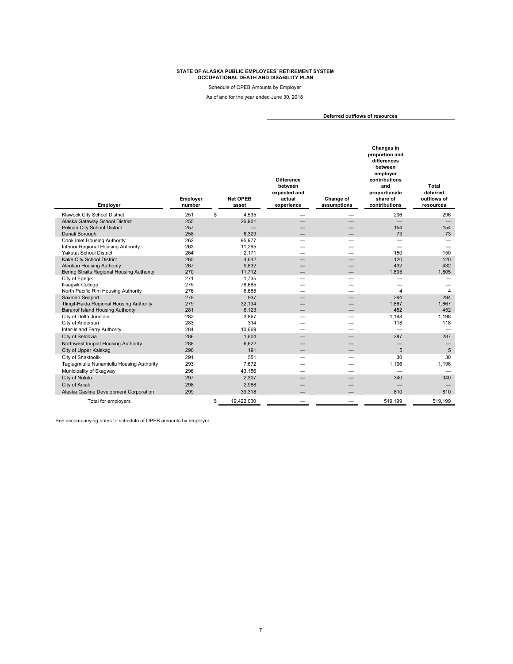Schedule of OPEB Amounts by Employer

As of and for the year ended June 30, 2018

**Deferred outflows of resources** 

| Employer                                  | Employer<br>number | <b>Net OPEB</b><br>asset | <b>Difference</b><br>between<br>expected and<br>actual<br>experience | Change of<br>assumptions | Changes in<br>proportion and<br>differences<br>between<br>employer<br>contributions<br>and<br>proportionate<br>share of<br>contributions | <b>Total</b><br>deferred<br>outflows of<br>resources |
|-------------------------------------------|--------------------|--------------------------|----------------------------------------------------------------------|--------------------------|------------------------------------------------------------------------------------------------------------------------------------------|------------------------------------------------------|
| Klawock City School District              | 251                | \$<br>4,535              |                                                                      |                          | 296                                                                                                                                      | 296                                                  |
| Alaska Gateway School District            | 255                | 26,901                   |                                                                      |                          | $\overline{\phantom{0}}$                                                                                                                 | $\overline{\phantom{m}}$                             |
| Pelican City School District              | 257                |                          |                                                                      |                          | 154                                                                                                                                      | 154                                                  |
| Denali Borough                            | 258                | 6,329                    |                                                                      |                          | 73                                                                                                                                       | 73                                                   |
| Cook Inlet Housing Authority              | 262                | 95.977                   |                                                                      |                          |                                                                                                                                          |                                                      |
| Interior Regional Housing Authority       | 263                | 11,285                   | -                                                                    | -                        | -                                                                                                                                        |                                                      |
| <b>Yakutat School District</b>            | 264                | 2,171                    |                                                                      |                          | 150                                                                                                                                      | 150                                                  |
| Kake City School District                 | 265                | 4.642                    |                                                                      |                          | 120                                                                                                                                      | 120                                                  |
| <b>Aleutian Housing Authority</b>         | 267                | 9,832                    |                                                                      |                          | 432                                                                                                                                      | 432                                                  |
| Bering Straits Regional Housing Authority | 270                | 11.712                   |                                                                      |                          | 1.805                                                                                                                                    | 1.805                                                |
| City of Egegik                            | 271                | 1,735                    | -                                                                    | —                        | —                                                                                                                                        |                                                      |
| Ilisagvik College                         | 275                | 78,685                   |                                                                      |                          |                                                                                                                                          |                                                      |
| North Pacific Rim Housing Authority       | 276                | 6,685                    | -                                                                    | -                        | $\overline{\mathbf{4}}$                                                                                                                  | $\overline{4}$                                       |
| Saxman Seaport                            | 278                | 937                      |                                                                      |                          | 294                                                                                                                                      | 294                                                  |
| Tlingit-Haida Regional Housing Authority  | 279                | 32,134                   |                                                                      |                          | 1,867                                                                                                                                    | 1,867                                                |
| <b>Baranof Island Housing Authority</b>   | 281                | 6,123                    |                                                                      |                          | 452                                                                                                                                      | 452                                                  |
| City of Delta Junction                    | 282                | 3,867                    |                                                                      |                          | 1.198                                                                                                                                    | 1,198                                                |
| City of Anderson                          | 283                | 314                      |                                                                      |                          | 118                                                                                                                                      | 118                                                  |
| Inter-Island Ferry Authority              | 284                | 10.669                   |                                                                      |                          |                                                                                                                                          |                                                      |
| City of Seldovia                          | 286                | 1,604                    |                                                                      |                          | 287                                                                                                                                      | 287                                                  |
| Northwest Inupiat Housing Authority       | 288                | 6,622                    |                                                                      |                          |                                                                                                                                          |                                                      |
| City of Upper Kalskag                     | 290                | 191                      |                                                                      |                          | 5                                                                                                                                        | 5                                                    |
| City of Shaktoolik                        | 291                | 551                      |                                                                      |                          | 30                                                                                                                                       | 30                                                   |
| Tagiugmiullu Nunamiullu Housing Authority | 293                | 7.672                    |                                                                      |                          | 1.196                                                                                                                                    | 1.196                                                |
| Municipality of Skagway                   | 296                | 43,156                   | -                                                                    | –                        |                                                                                                                                          |                                                      |
| City of Nulato                            | 297                | 2,307                    |                                                                      |                          | 340                                                                                                                                      | 340                                                  |
| City of Aniak                             | 298                | 2,988                    |                                                                      |                          |                                                                                                                                          |                                                      |
| Alaska Gasline Development Corporation    | 299                | 39,318                   |                                                                      |                          | 810                                                                                                                                      | 810                                                  |
| Total for employers                       |                    | \$<br>19,422,000         |                                                                      |                          | 519,199                                                                                                                                  | 519,199                                              |
|                                           |                    |                          |                                                                      |                          |                                                                                                                                          |                                                      |

See accompanying notes to schedule of OPEB amounts by employer.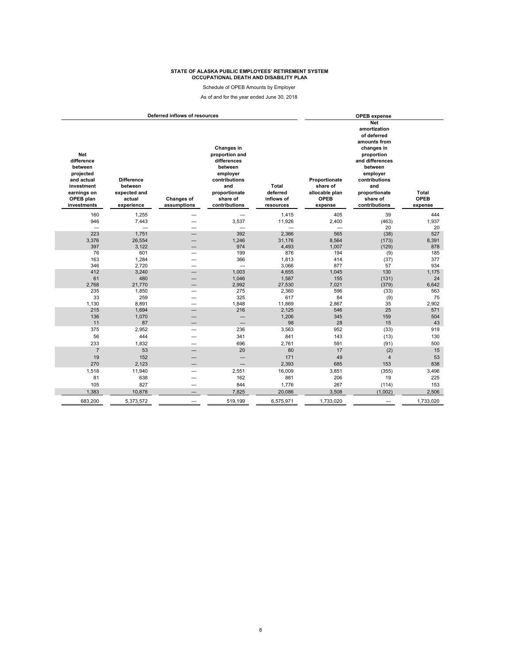Schedule of OPEB Amounts by Employer

As of and for the year ended June 30, 2018

|                                                                                                                         |                                                                      | Deferred inflows of resources    | <b>OPEB</b> expense                                                                                                                      |                                              |                                                                |                                                                                                                                                                                                       |                                        |
|-------------------------------------------------------------------------------------------------------------------------|----------------------------------------------------------------------|----------------------------------|------------------------------------------------------------------------------------------------------------------------------------------|----------------------------------------------|----------------------------------------------------------------|-------------------------------------------------------------------------------------------------------------------------------------------------------------------------------------------------------|----------------------------------------|
| <b>Net</b><br>difference<br>between<br>projected<br>and actual<br>investment<br>earnings on<br>OPEB plan<br>investments | <b>Difference</b><br>between<br>expected and<br>actual<br>experience | <b>Changes of</b><br>assumptions | Changes in<br>proportion and<br>differences<br>between<br>employer<br>contributions<br>and<br>proportionate<br>share of<br>contributions | Total<br>deferred<br>inflows of<br>resources | Proportionate<br>share of<br>allocable plan<br>OPEB<br>expense | <b>Net</b><br>amortization<br>of deferred<br>amounts from<br>changes in<br>proportion<br>and differences<br>between<br>employer<br>contributions<br>and<br>proportionate<br>share of<br>contributions | <b>Total</b><br><b>OPEB</b><br>expense |
| 160                                                                                                                     | 1,255                                                                |                                  |                                                                                                                                          | 1,415                                        | 405                                                            | 39                                                                                                                                                                                                    | 444                                    |
| 946                                                                                                                     | 7,443                                                                |                                  | 3,537                                                                                                                                    | 11,926                                       | 2,400                                                          | (463)                                                                                                                                                                                                 | 1,937                                  |
| $\frac{1}{2}$                                                                                                           | $\equiv$                                                             |                                  |                                                                                                                                          |                                              |                                                                | 20                                                                                                                                                                                                    | 20                                     |
| 223                                                                                                                     | 1,751                                                                |                                  | 392                                                                                                                                      | 2,366                                        | 565                                                            | (38)                                                                                                                                                                                                  | 527                                    |
| 3,376                                                                                                                   | 26,554                                                               |                                  | 1,246                                                                                                                                    | 31,176                                       | 8,564                                                          | (173)                                                                                                                                                                                                 | 8,391                                  |
| 397                                                                                                                     | 3,122                                                                |                                  | 974                                                                                                                                      | 4,493                                        | 1,007                                                          | (129)                                                                                                                                                                                                 | 878                                    |
| 76                                                                                                                      | 601                                                                  | -                                | 199                                                                                                                                      | 876                                          | 194                                                            | (9)                                                                                                                                                                                                   | 185                                    |
| 163                                                                                                                     | 1,284                                                                |                                  | 366                                                                                                                                      | 1,813                                        | 414                                                            | (37)                                                                                                                                                                                                  | 377                                    |
| 346<br>412                                                                                                              | 2.720<br>3,240                                                       | -                                | 1,003                                                                                                                                    | 3,066<br>4,655                               | 877<br>1,045                                                   | 57<br>130                                                                                                                                                                                             | 934<br>1,175                           |
| 61                                                                                                                      | 480                                                                  |                                  | 1,046                                                                                                                                    | 1,587                                        | 155                                                            | (131)                                                                                                                                                                                                 | 24                                     |
| 2,768                                                                                                                   | 21,770                                                               | -                                | 2,992                                                                                                                                    | 27,530                                       | 7,021                                                          | (379)                                                                                                                                                                                                 | 6,642                                  |
| 235                                                                                                                     | 1,850                                                                |                                  | 275                                                                                                                                      | 2,360                                        | 596                                                            | (33)                                                                                                                                                                                                  | 563                                    |
| 33                                                                                                                      | 259                                                                  |                                  | 325                                                                                                                                      | 617                                          | 84                                                             | (9)                                                                                                                                                                                                   | 75                                     |
| 1,130                                                                                                                   | 8,891                                                                | $\overline{\phantom{0}}$         | 1,848                                                                                                                                    | 11,869                                       | 2,867                                                          | 35                                                                                                                                                                                                    | 2,902                                  |
| 215                                                                                                                     | 1,694                                                                |                                  | 216                                                                                                                                      | 2,125                                        | 546                                                            | 25                                                                                                                                                                                                    | 571                                    |
| 136                                                                                                                     | 1,070                                                                |                                  | -                                                                                                                                        | 1,206                                        | 345                                                            | 159                                                                                                                                                                                                   | 504                                    |
| 11                                                                                                                      | 87                                                                   |                                  | -                                                                                                                                        | 98                                           | 28                                                             | 15                                                                                                                                                                                                    | 43                                     |
| 375                                                                                                                     | 2,952                                                                |                                  | 236                                                                                                                                      | 3,563                                        | 952                                                            | (33)                                                                                                                                                                                                  | 919                                    |
| 56                                                                                                                      | 444                                                                  |                                  | 341                                                                                                                                      | 841                                          | 143                                                            | (13)                                                                                                                                                                                                  | 130                                    |
| 233                                                                                                                     | 1,832                                                                |                                  | 696                                                                                                                                      | 2,761                                        | 591                                                            | (91)                                                                                                                                                                                                  | 500                                    |
| $\overline{7}$                                                                                                          | 53                                                                   |                                  | 20                                                                                                                                       | 80                                           | 17                                                             | (2)                                                                                                                                                                                                   | 15                                     |
| 19                                                                                                                      | 152                                                                  |                                  |                                                                                                                                          | 171                                          | 49                                                             | $\overline{4}$                                                                                                                                                                                        | 53                                     |
| 270                                                                                                                     | 2,123                                                                |                                  |                                                                                                                                          | 2,393                                        | 685                                                            | 153                                                                                                                                                                                                   | 838                                    |
| 1,518                                                                                                                   | 11,940                                                               | $\overline{\phantom{0}}$         | 2,551                                                                                                                                    | 16,009                                       | 3,851                                                          | (355)                                                                                                                                                                                                 | 3,496                                  |
| 81                                                                                                                      | 638                                                                  |                                  | 162                                                                                                                                      | 881                                          | 206                                                            | 19                                                                                                                                                                                                    | 225                                    |
| 105                                                                                                                     | 827                                                                  | -                                | 844                                                                                                                                      | 1,776                                        | 267                                                            | (114)                                                                                                                                                                                                 | 153                                    |
| 1,383                                                                                                                   | 10,878                                                               |                                  | 7,825                                                                                                                                    | 20,086                                       | 3,508                                                          | (1,002)                                                                                                                                                                                               | 2,506                                  |
| 683.200                                                                                                                 | 5,373,572                                                            |                                  | 519.199                                                                                                                                  | 6,575,971                                    | 1,733,020                                                      |                                                                                                                                                                                                       | 1,733,020                              |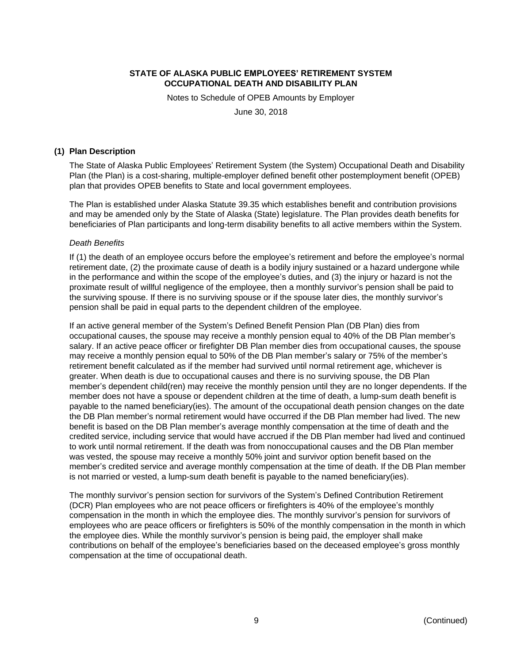Notes to Schedule of OPEB Amounts by Employer

June 30, 2018

#### **(1) Plan Description**

The State of Alaska Public Employees' Retirement System (the System) Occupational Death and Disability Plan (the Plan) is a cost-sharing, multiple-employer defined benefit other postemployment benefit (OPEB) plan that provides OPEB benefits to State and local government employees.

The Plan is established under Alaska Statute 39.35 which establishes benefit and contribution provisions and may be amended only by the State of Alaska (State) legislature. The Plan provides death benefits for beneficiaries of Plan participants and long-term disability benefits to all active members within the System.

#### *Death Benefits*

If (1) the death of an employee occurs before the employee's retirement and before the employee's normal retirement date, (2) the proximate cause of death is a bodily injury sustained or a hazard undergone while in the performance and within the scope of the employee's duties, and (3) the injury or hazard is not the proximate result of willful negligence of the employee, then a monthly survivor's pension shall be paid to the surviving spouse. If there is no surviving spouse or if the spouse later dies, the monthly survivor's pension shall be paid in equal parts to the dependent children of the employee.

If an active general member of the System's Defined Benefit Pension Plan (DB Plan) dies from occupational causes, the spouse may receive a monthly pension equal to 40% of the DB Plan member's salary. If an active peace officer or firefighter DB Plan member dies from occupational causes, the spouse may receive a monthly pension equal to 50% of the DB Plan member's salary or 75% of the member's retirement benefit calculated as if the member had survived until normal retirement age, whichever is greater. When death is due to occupational causes and there is no surviving spouse, the DB Plan member's dependent child(ren) may receive the monthly pension until they are no longer dependents. If the member does not have a spouse or dependent children at the time of death, a lump-sum death benefit is payable to the named beneficiary(ies). The amount of the occupational death pension changes on the date the DB Plan member's normal retirement would have occurred if the DB Plan member had lived. The new benefit is based on the DB Plan member's average monthly compensation at the time of death and the credited service, including service that would have accrued if the DB Plan member had lived and continued to work until normal retirement. If the death was from nonoccupational causes and the DB Plan member was vested, the spouse may receive a monthly 50% joint and survivor option benefit based on the member's credited service and average monthly compensation at the time of death. If the DB Plan member is not married or vested, a lump-sum death benefit is payable to the named beneficiary(ies).

The monthly survivor's pension section for survivors of the System's Defined Contribution Retirement (DCR) Plan employees who are not peace officers or firefighters is 40% of the employee's monthly compensation in the month in which the employee dies. The monthly survivor's pension for survivors of employees who are peace officers or firefighters is 50% of the monthly compensation in the month in which the employee dies. While the monthly survivor's pension is being paid, the employer shall make contributions on behalf of the employee's beneficiaries based on the deceased employee's gross monthly compensation at the time of occupational death.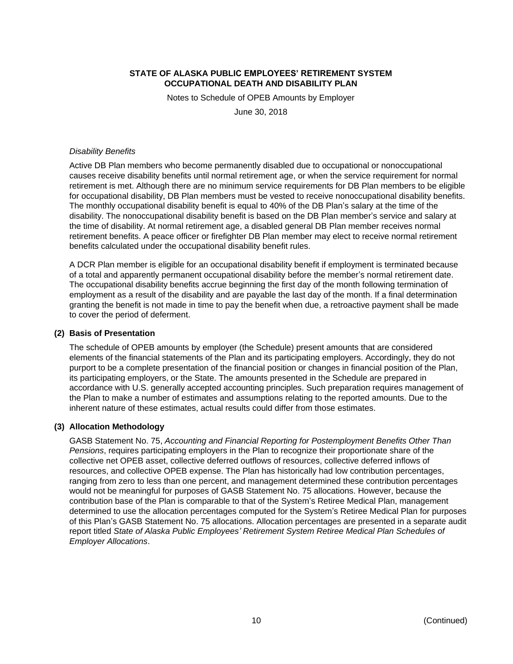Notes to Schedule of OPEB Amounts by Employer

June 30, 2018

#### *Disability Benefits*

Active DB Plan members who become permanently disabled due to occupational or nonoccupational causes receive disability benefits until normal retirement age, or when the service requirement for normal retirement is met. Although there are no minimum service requirements for DB Plan members to be eligible for occupational disability, DB Plan members must be vested to receive nonoccupational disability benefits. The monthly occupational disability benefit is equal to 40% of the DB Plan's salary at the time of the disability. The nonoccupational disability benefit is based on the DB Plan member's service and salary at the time of disability. At normal retirement age, a disabled general DB Plan member receives normal retirement benefits. A peace officer or firefighter DB Plan member may elect to receive normal retirement benefits calculated under the occupational disability benefit rules.

A DCR Plan member is eligible for an occupational disability benefit if employment is terminated because of a total and apparently permanent occupational disability before the member's normal retirement date. The occupational disability benefits accrue beginning the first day of the month following termination of employment as a result of the disability and are payable the last day of the month. If a final determination granting the benefit is not made in time to pay the benefit when due, a retroactive payment shall be made to cover the period of deferment.

#### **(2) Basis of Presentation**

The schedule of OPEB amounts by employer (the Schedule) present amounts that are considered elements of the financial statements of the Plan and its participating employers. Accordingly, they do not purport to be a complete presentation of the financial position or changes in financial position of the Plan, its participating employers, or the State. The amounts presented in the Schedule are prepared in accordance with U.S. generally accepted accounting principles. Such preparation requires management of the Plan to make a number of estimates and assumptions relating to the reported amounts. Due to the inherent nature of these estimates, actual results could differ from those estimates.

#### **(3) Allocation Methodology**

GASB Statement No. 75, *Accounting and Financial Reporting for Postemployment Benefits Other Than Pensions*, requires participating employers in the Plan to recognize their proportionate share of the collective net OPEB asset, collective deferred outflows of resources, collective deferred inflows of resources, and collective OPEB expense. The Plan has historically had low contribution percentages, ranging from zero to less than one percent, and management determined these contribution percentages would not be meaningful for purposes of GASB Statement No. 75 allocations. However, because the contribution base of the Plan is comparable to that of the System's Retiree Medical Plan, management determined to use the allocation percentages computed for the System's Retiree Medical Plan for purposes of this Plan's GASB Statement No. 75 allocations. Allocation percentages are presented in a separate audit report titled *State of Alaska Public Employees' Retirement System Retiree Medical Plan Schedules of Employer Allocations*.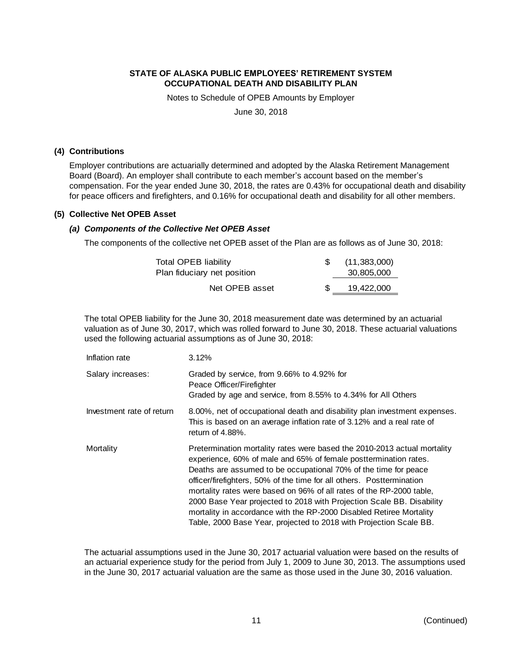Notes to Schedule of OPEB Amounts by Employer

June 30, 2018

#### **(4) Contributions**

Employer contributions are actuarially determined and adopted by the Alaska Retirement Management Board (Board). An employer shall contribute to each member's account based on the member's compensation. For the year ended June 30, 2018, the rates are 0.43% for occupational death and disability for peace officers and firefighters, and 0.16% for occupational death and disability for all other members.

#### **(5) Collective Net OPEB Asset**

#### *(a) Components of the Collective Net OPEB Asset*

The components of the collective net OPEB asset of the Plan are as follows as of June 30, 2018:

| <b>Total OPEB liability</b> | (11,383,000) |
|-----------------------------|--------------|
| Plan fiduciary net position | 30,805,000   |
| Net OPEB asset              | 19,422,000   |

The total OPEB liability for the June 30, 2018 measurement date was determined by an actuarial valuation as of June 30, 2017, which was rolled forward to June 30, 2018. These actuarial valuations used the following actuarial assumptions as of June 30, 2018:

| Inflation rate            | 3.12%                                                                                                                                                                                                                                                                                                                                                                                                                                                                                                                                                                                  |
|---------------------------|----------------------------------------------------------------------------------------------------------------------------------------------------------------------------------------------------------------------------------------------------------------------------------------------------------------------------------------------------------------------------------------------------------------------------------------------------------------------------------------------------------------------------------------------------------------------------------------|
| Salary increases:         | Graded by service, from 9.66% to 4.92% for<br>Peace Officer/Firefighter<br>Graded by age and service, from 8.55% to 4.34% for All Others                                                                                                                                                                                                                                                                                                                                                                                                                                               |
| Investment rate of return | 8.00%, net of occupational death and disability plan investment expenses.<br>This is based on an average inflation rate of 3.12% and a real rate of<br>return of $4.88\%$ .                                                                                                                                                                                                                                                                                                                                                                                                            |
| Mortality                 | Pretermination mortality rates were based the 2010-2013 actual mortality<br>experience, 60% of male and 65% of female posttermination rates.<br>Deaths are assumed to be occupational 70% of the time for peace<br>officer/firefighters, 50% of the time for all others. Posttermination<br>mortality rates were based on 96% of all rates of the RP-2000 table,<br>2000 Base Year projected to 2018 with Projection Scale BB. Disability<br>mortality in accordance with the RP-2000 Disabled Retiree Mortality<br>Table, 2000 Base Year, projected to 2018 with Projection Scale BB. |

The actuarial assumptions used in the June 30, 2017 actuarial valuation were based on the results of an actuarial experience study for the period from July 1, 2009 to June 30, 2013. The assumptions used in the June 30, 2017 actuarial valuation are the same as those used in the June 30, 2016 valuation.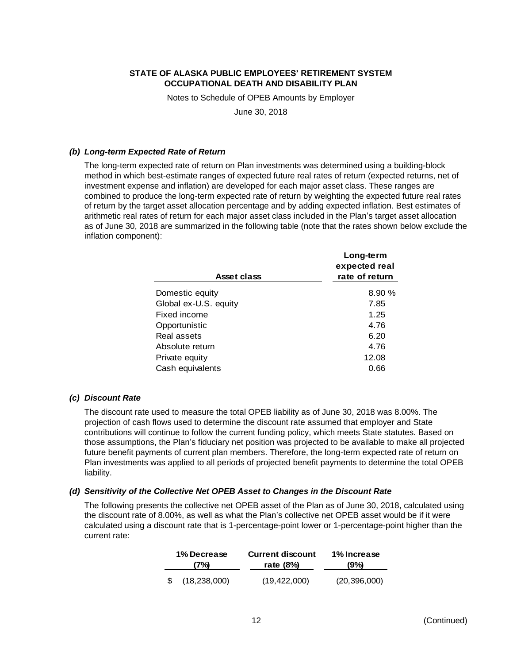Notes to Schedule of OPEB Amounts by Employer

June 30, 2018

#### *(b) Long-term Expected Rate of Return*

The long-term expected rate of return on Plan investments was determined using a building-block method in which best-estimate ranges of expected future real rates of return (expected returns, net of investment expense and inflation) are developed for each major asset class. These ranges are combined to produce the long-term expected rate of return by weighting the expected future real rates of return by the target asset allocation percentage and by adding expected inflation. Best estimates of arithmetic real rates of return for each major asset class included in the Plan's target asset allocation as of June 30, 2018 are summarized in the following table (note that the rates shown below exclude the inflation component):

|                       | Long-term<br>expected real |
|-----------------------|----------------------------|
| Asset class           | rate of return             |
| Domestic equity       | 8.90 %                     |
| Global ex-U.S. equity | 7.85                       |
| Fixed income          | 1.25                       |
| Opportunistic         | 4.76                       |
| Real assets           | 6.20                       |
| Absolute return       | 4.76                       |
| Private equity        | 12.08                      |
| Cash equivalents      | 0.66                       |

#### *(c) Discount Rate*

The discount rate used to measure the total OPEB liability as of June 30, 2018 was 8.00%. The projection of cash flows used to determine the discount rate assumed that employer and State contributions will continue to follow the current funding policy, which meets State statutes. Based on those assumptions, the Plan's fiduciary net position was projected to be available to make all projected future benefit payments of current plan members. Therefore, the long-term expected rate of return on Plan investments was applied to all periods of projected benefit payments to determine the total OPEB liability.

#### *(d) Sensitivity of the Collective Net OPEB Asset to Changes in the Discount Rate*

The following presents the collective net OPEB asset of the Plan as of June 30, 2018, calculated using the discount rate of 8.00%, as well as what the Plan's collective net OPEB asset would be if it were calculated using a discount rate that is 1-percentage-point lower or 1-percentage-point higher than the current rate:

| 1% Decrease |                | <b>Current discount</b> | 1% Increase    |  |  |
|-------------|----------------|-------------------------|----------------|--|--|
| (7%)        |                | rate $(8\%)$            | (9%)           |  |  |
|             | (18, 238, 000) | (19, 422, 000)          | (20, 396, 000) |  |  |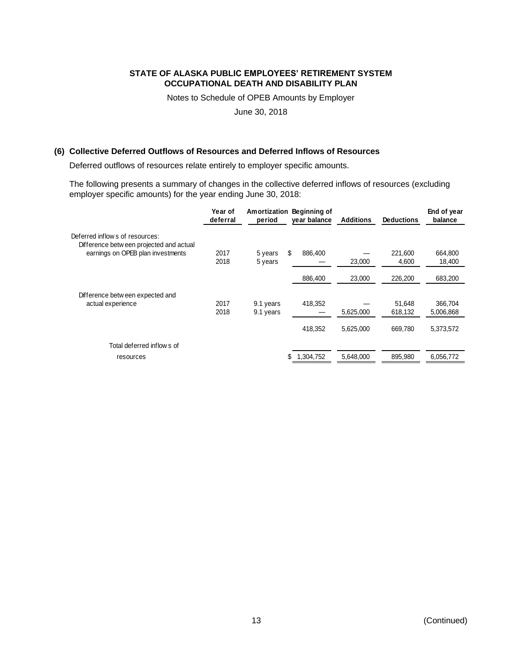Notes to Schedule of OPEB Amounts by Employer

June 30, 2018

### **(6) Collective Deferred Outflows of Resources and Deferred Inflows of Resources**

Deferred outflows of resources relate entirely to employer specific amounts.

The following presents a summary of changes in the collective deferred inflows of resources (excluding employer specific amounts) for the year ending June 30, 2018:

|                                                                            | Year of<br>deferral | Amortization<br>period | Beginning of<br>year balance | <b>Additions</b> | <b>Deductions</b> | End of year<br>balance |
|----------------------------------------------------------------------------|---------------------|------------------------|------------------------------|------------------|-------------------|------------------------|
| Deferred inflows of resources:<br>Difference betw een projected and actual |                     |                        |                              |                  |                   |                        |
| earnings on OPEB plan investments                                          | 2017<br>2018        | 5 years<br>5 years     | \$<br>886,400                | 23,000           | 221,600<br>4,600  | 664,800<br>18,400      |
|                                                                            |                     |                        | 886,400                      | 23,000           | 226,200           | 683,200                |
| Difference between expected and                                            |                     |                        |                              |                  |                   |                        |
| actual experience                                                          | 2017<br>2018        | 9.1 years<br>9.1 years | 418,352                      | 5,625,000        | 51.648<br>618,132 | 366,704<br>5,006,868   |
|                                                                            |                     |                        | 418,352                      | 5,625,000        | 669,780           | 5,373,572              |
| Total deferred inflows of                                                  |                     |                        |                              |                  |                   |                        |
| resources                                                                  |                     |                        | 1,304,752                    | 5,648,000        | 895,980           | 6,056,772              |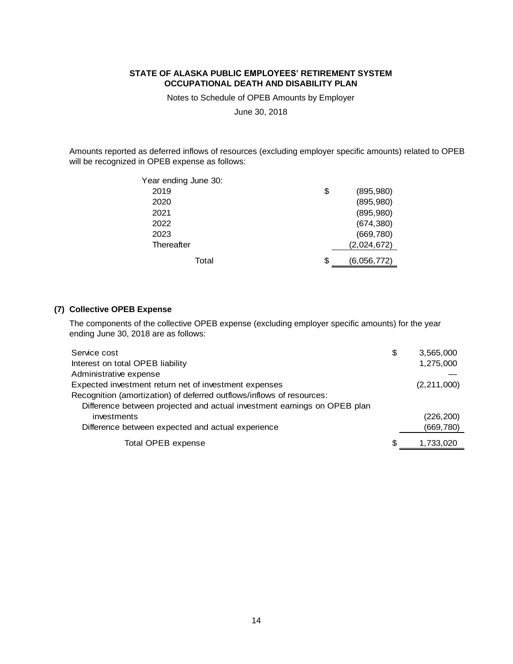Notes to Schedule of OPEB Amounts by Employer

June 30, 2018

Amounts reported as deferred inflows of resources (excluding employer specific amounts) related to OPEB will be recognized in OPEB expense as follows:

| Year ending June 30: |                   |  |
|----------------------|-------------------|--|
| 2019                 | \$<br>(895, 980)  |  |
| 2020                 | (895, 980)        |  |
| 2021                 | (895, 980)        |  |
| 2022                 | (674, 380)        |  |
| 2023                 | (669, 780)        |  |
| Thereafter           | (2,024,672)       |  |
| Total                | \$<br>(6,056,772) |  |

### **(7) Collective OPEB Expense**

The components of the collective OPEB expense (excluding employer specific amounts) for the year ending June 30, 2018 are as follows:

| Service cost                                                             | \$  | 3,565,000     |
|--------------------------------------------------------------------------|-----|---------------|
| Interest on total OPEB liability                                         |     | 1,275,000     |
| Administrative expense                                                   |     |               |
| Expected investment return net of investment expenses                    |     | (2, 211, 000) |
| Recognition (amortization) of deferred outflows/inflows of resources:    |     |               |
| Difference between projected and actual investment earnings on OPEB plan |     |               |
| investments                                                              |     | (226, 200)    |
| Difference between expected and actual experience                        |     | (669, 780)    |
| Total OPEB expense                                                       | \$. | 1,733,020     |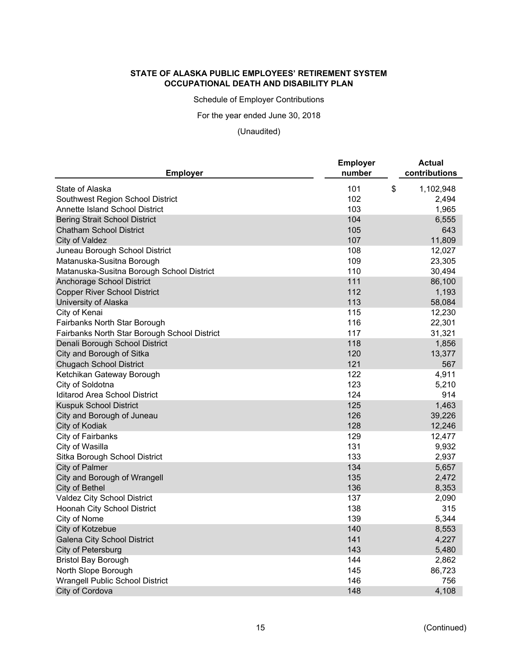Schedule of Employer Contributions

For the year ended June 30, 2018

# (Unaudited)

| <b>Employer</b>                              | <b>Employer</b><br>number | <b>Actual</b><br>contributions |
|----------------------------------------------|---------------------------|--------------------------------|
| State of Alaska                              | 101                       | \$<br>1,102,948                |
| Southwest Region School District             | 102                       | 2,494                          |
| Annette Island School District               | 103                       | 1,965                          |
| <b>Bering Strait School District</b>         | 104                       | 6,555                          |
| <b>Chatham School District</b>               | 105                       | 643                            |
| City of Valdez                               | 107                       | 11,809                         |
| Juneau Borough School District               | 108                       | 12,027                         |
| Matanuska-Susitna Borough                    | 109                       | 23,305                         |
| Matanuska-Susitna Borough School District    | 110                       | 30,494                         |
| Anchorage School District                    | 111                       | 86,100                         |
| <b>Copper River School District</b>          | 112                       | 1,193                          |
| University of Alaska                         | 113                       | 58,084                         |
| City of Kenai                                | 115                       | 12,230                         |
| Fairbanks North Star Borough                 | 116                       | 22,301                         |
| Fairbanks North Star Borough School District | 117                       | 31,321                         |
| Denali Borough School District               | 118                       | 1,856                          |
| City and Borough of Sitka                    | 120                       | 13,377                         |
| <b>Chugach School District</b>               | 121                       | 567                            |
| Ketchikan Gateway Borough                    | 122                       | 4,911                          |
| City of Soldotna                             | 123                       | 5,210                          |
| Iditarod Area School District                | 124                       | 914                            |
| <b>Kuspuk School District</b>                | 125                       | 1,463                          |
| City and Borough of Juneau                   | 126                       | 39,226                         |
| City of Kodiak                               | 128                       | 12,246                         |
| City of Fairbanks                            | 129                       | 12,477                         |
| City of Wasilla                              | 131                       | 9,932                          |
| Sitka Borough School District                | 133                       | 2,937                          |
| City of Palmer                               | 134                       | 5,657                          |
| City and Borough of Wrangell                 | 135                       | 2,472                          |
| City of Bethel                               | 136                       | 8,353                          |
| Valdez City School District                  | 137                       | 2,090                          |
| Hoonah City School District                  | 138                       | 315                            |
| City of Nome                                 | 139                       | 5,344                          |
| City of Kotzebue                             | 140                       | 8,553                          |
| Galena City School District                  | 141                       | 4,227                          |
| City of Petersburg                           | 143                       | 5,480                          |
| <b>Bristol Bay Borough</b>                   | 144                       | 2,862                          |
| North Slope Borough                          | 145                       | 86,723                         |
| <b>Wrangell Public School District</b>       | 146                       | 756                            |
| City of Cordova                              | 148                       | 4,108                          |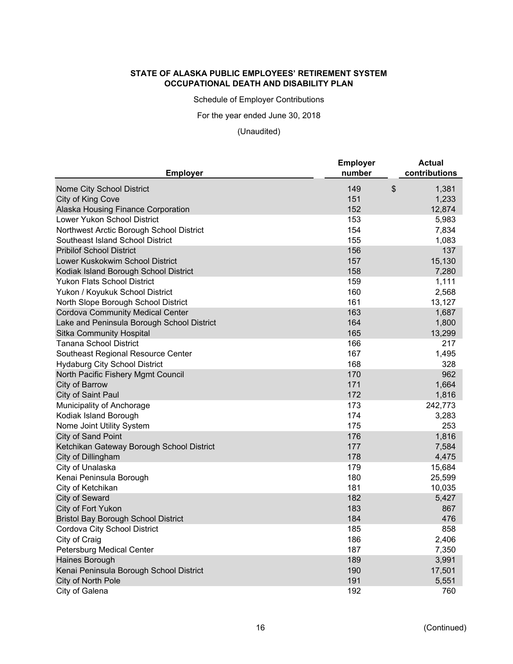Schedule of Employer Contributions

For the year ended June 30, 2018

# (Unaudited)

| <b>Employer</b>                            | <b>Employer</b><br>number | <b>Actual</b><br>contributions |
|--------------------------------------------|---------------------------|--------------------------------|
| Nome City School District                  | 149                       | \$<br>1,381                    |
| City of King Cove                          | 151                       | 1,233                          |
| Alaska Housing Finance Corporation         | 152                       | 12,874                         |
| Lower Yukon School District                | 153                       | 5,983                          |
| Northwest Arctic Borough School District   | 154                       | 7,834                          |
| Southeast Island School District           | 155                       | 1,083                          |
| <b>Pribilof School District</b>            | 156                       | 137                            |
| Lower Kuskokwim School District            | 157                       | 15,130                         |
| Kodiak Island Borough School District      | 158                       | 7,280                          |
| Yukon Flats School District                | 159                       | 1,111                          |
| Yukon / Koyukuk School District            | 160                       | 2,568                          |
| North Slope Borough School District        | 161                       | 13,127                         |
| <b>Cordova Community Medical Center</b>    | 163                       | 1,687                          |
| Lake and Peninsula Borough School District | 164                       | 1,800                          |
| <b>Sitka Community Hospital</b>            | 165                       | 13,299                         |
| <b>Tanana School District</b>              | 166                       | 217                            |
| Southeast Regional Resource Center         | 167                       | 1,495                          |
| <b>Hydaburg City School District</b>       | 168                       | 328                            |
| North Pacific Fishery Mgmt Council         | 170                       | 962                            |
| <b>City of Barrow</b>                      | 171                       | 1,664                          |
| City of Saint Paul                         | 172                       | 1,816                          |
| Municipality of Anchorage                  | 173                       | 242,773                        |
| Kodiak Island Borough                      | 174                       | 3,283                          |
| Nome Joint Utility System                  | 175                       | 253                            |
| City of Sand Point                         | 176                       | 1,816                          |
| Ketchikan Gateway Borough School District  | 177                       | 7,584                          |
| City of Dillingham                         | 178                       | 4,475                          |
| City of Unalaska                           | 179                       | 15,684                         |
| Kenai Peninsula Borough                    | 180                       | 25,599                         |
| City of Ketchikan                          | 181                       | 10,035                         |
| City of Seward                             | 182                       | 5,427                          |
| City of Fort Yukon                         | 183                       | 867                            |
| <b>Bristol Bay Borough School District</b> | 184                       | 476                            |
| Cordova City School District               | 185                       | 858                            |
| City of Craig                              | 186                       | 2,406                          |
| Petersburg Medical Center                  | 187                       | 7,350                          |
| Haines Borough                             | 189                       | 3,991                          |
| Kenai Peninsula Borough School District    | 190                       | 17,501                         |
| City of North Pole                         | 191                       | 5,551                          |
| City of Galena                             | 192                       | 760                            |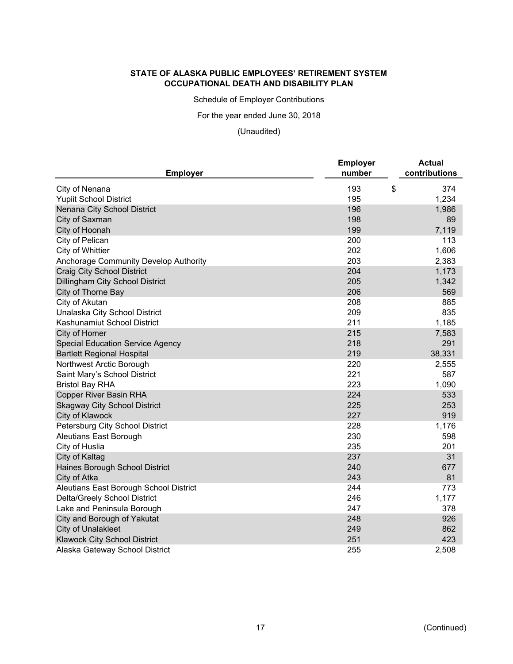Schedule of Employer Contributions

For the year ended June 30, 2018

(Unaudited)

| <b>Employer</b>                         | <b>Employer</b><br>number | <b>Actual</b><br>contributions |
|-----------------------------------------|---------------------------|--------------------------------|
| City of Nenana                          | 193                       | \$<br>374                      |
| <b>Yupiit School District</b>           | 195                       | 1,234                          |
| Nenana City School District             | 196                       | 1,986                          |
| City of Saxman                          | 198                       | 89                             |
| City of Hoonah                          | 199                       | 7,119                          |
| City of Pelican                         | 200                       | 113                            |
| City of Whittier                        | 202                       | 1,606                          |
| Anchorage Community Develop Authority   | 203                       | 2,383                          |
| <b>Craig City School District</b>       | 204                       | 1,173                          |
| Dillingham City School District         | 205                       | 1,342                          |
| City of Thorne Bay                      | 206                       | 569                            |
| City of Akutan                          | 208                       | 885                            |
| Unalaska City School District           | 209                       | 835                            |
| Kashunamiut School District             | 211                       | 1,185                          |
| City of Homer                           | 215                       | 7,583                          |
| <b>Special Education Service Agency</b> | 218                       | 291                            |
| <b>Bartlett Regional Hospital</b>       | 219                       | 38,331                         |
| Northwest Arctic Borough                | 220                       | 2,555                          |
| Saint Mary's School District            | 221                       | 587                            |
| <b>Bristol Bay RHA</b>                  | 223                       | 1,090                          |
| <b>Copper River Basin RHA</b>           | 224                       | 533                            |
| <b>Skagway City School District</b>     | 225                       | 253                            |
| City of Klawock                         | 227                       | 919                            |
| Petersburg City School District         | 228                       | 1,176                          |
| <b>Aleutians East Borough</b>           | 230                       | 598                            |
| City of Huslia                          | 235                       | 201                            |
| City of Kaltag                          | 237                       | 31                             |
| Haines Borough School District          | 240                       | 677                            |
| City of Atka                            | 243                       | 81                             |
| Aleutians East Borough School District  | 244                       | 773                            |
| Delta/Greely School District            | 246                       | 1,177                          |
| Lake and Peninsula Borough              | 247                       | 378                            |
| City and Borough of Yakutat             | 248                       | 926                            |
| <b>City of Unalakleet</b>               | 249                       | 862                            |
| <b>Klawock City School District</b>     | 251                       | 423                            |
| Alaska Gateway School District          | 255                       | 2,508                          |